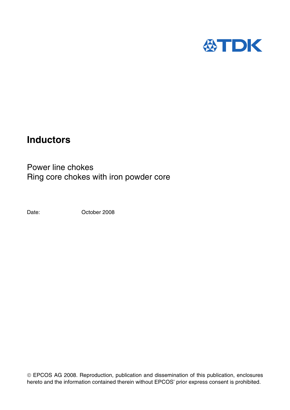

# **Inductors**

Power line chokes Ring core chokes with iron powder core

Date: Corober 2008

 EPCOS AG 2008. Reproduction, publication and dissemination of this publication, enclosures hereto and the information contained therein without EPCOS' prior express consent is prohibited.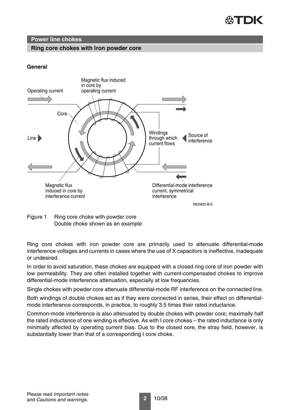

# **Ring core chokes with iron powder core**

# **General**



Figure 1 Ring core choke with powder core Double choke shown as an example

Ring core chokes with iron powder core are primarily used to attenuate differential-mode interference voltages and currents in cases where the use of X capacitors is ineffective, inadequate or undesired.

In order to avoid saturation, these chokes are equipped with a closed ring core of iron powder with low permeability. They are often installed together with current-compensated chokes to improve differential-mode interference attenuation, especially at low frequencies.

Single chokes with powder core attenuate differential-mode RF interference on the connected line.

Both windings of double chokes act as if they were connected in series, their effect on differentialmode interference corresponds, in practice, to roughly 3.5 times their rated inductance.

Common-mode interference is also attenuated by double chokes with powder core; maximally half the rated inductance of one winding is effective. As with I core chokes – the rated inductance is only minimally affected by operating current bias. Due to the closed core, the stray field, however, is substantially lower than that of a corresponding I core choke.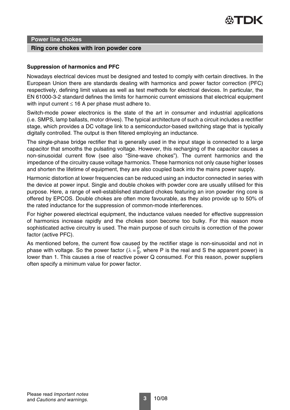

#### **Ring core chokes with iron powder core**

## **Suppression of harmonics and PFC**

Nowadays electrical devices must be designed and tested to comply with certain directives. In the European Union there are standards dealing with harmonics and power factor correction (PFC) respectively, defining limit values as well as test methods for electrical devices. In particular, the EN 61000-3-2 standard defines the limits for harmonic current emissions that electrical equipment with input current  $\leq 16$  A per phase must adhere to.

Switch-mode power electronics is the state of the art in consumer and industrial applications (i.e. SMPS, lamp ballasts, motor drives). The typical architecture of such a circuit includes a rectifier stage, which provides a DC voltage link to a semiconductor-based switching stage that is typically digitally controlled. The output is then filtered employing an inductance.

The single-phase bridge rectifier that is generally used in the input stage is connected to a large capacitor that smooths the pulsating voltage. However, this recharging of the capacitor causes a non-sinusoidal current flow (see also "Sine-wave chokes"). The current harmonics and the impedance of the circuitry cause voltage harmonics. These harmonics not only cause higher losses and shorten the lifetime of equipment, they are also coupled back into the mains power supply.

Harmonic distortion at lower frequencies can be reduced using an inductor connected in series with the device at power input. Single and double chokes with powder core are usually utilised for this purpose. Here, a range of well-established standard chokes featuring an iron powder ring core is offered by EPCOS. Double chokes are often more favourable, as they also provide up to 50% of the rated inductance for the suppression of common-mode interferences.

For higher powered electrical equipment, the inductance values needed for effective suppression of harmonics increase rapidly and the chokes soon become too bulky. For this reason more sophisticated active circuitry is used. The main purpose of such circuits is correction of the power factor (active PFC).

As mentioned before, the current flow caused by the rectifier stage is non-sinusoidal and not in phase with voltage. So the power factor ( $\lambda = \frac{P}{S}$ , where P is the real and S the apparent power) is lower than 1. This causes a rise of reactive power Q consumed. For this reason, power suppliers often specify a minimum value for power factor.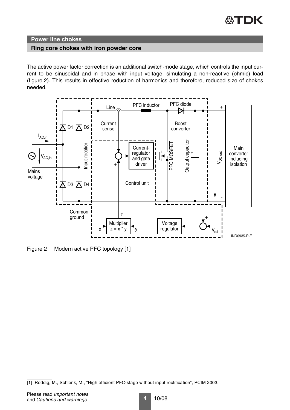

#### **Ring core chokes with iron powder core**

The active power factor correction is an additional switch-mode stage, which controls the input current to be sinusoidal and in phase with input voltage, simulating a non-reactive (ohmic) load [\(figure 2](#page-3-0)). This results in effective reduction of harmonics and therefore, reduced size of chokes needed.



<span id="page-3-0"></span>Figure 2 Modern active PFC topology [1]

<sup>[1]</sup> Reddig, M., Schlenk, M., "High efficient PFC-stage without input rectification", PCIM 2003.